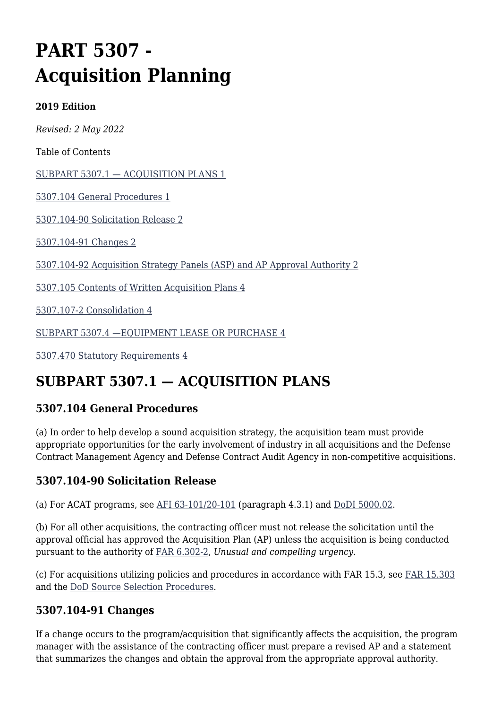# **PART 5307 - Acquisition Planning**

#### **2019 Edition**

*Revised: 2 May 2022*

Table of Contents

[SUBPART 5307.1 — ACQUISITION PLANS 1](#page--1-0)

[5307.104 General Procedures 1](#page--1-0)

[5307.104-90 Solicitation Release 2](#page--1-0)

[5307.104-91 Changes 2](#page--1-0)

[5307.104-92 Acquisition Strategy Panels \(ASP\) and AP Approval Authority 2](#page--1-0)

[5307.105 Contents of Written Acquisition Plans 4](#page--1-0)

[5307.107-2 Consolidation 4](#page--1-0)

[SUBPART 5307.4 —EQUIPMENT LEASE OR PURCHASE 4](#page--1-0)

[5307.470 Statutory Requirements 4](#page--1-0)

## **SUBPART 5307.1 — ACQUISITION PLANS**

#### **5307.104 General Procedures**

(a) In order to help develop a sound acquisition strategy, the acquisition team must provide appropriate opportunities for the early involvement of industry in all acquisitions and the Defense Contract Management Agency and Defense Contract Audit Agency in non-competitive acquisitions.

#### **5307.104-90 Solicitation Release**

(a) For ACAT programs, see AFI  $63-101/20-101$  (paragraph 4.3.1) and [DoDI 5000.02.](http://www.esd.whs.mil/Portals/54/Documents/DD/issuances/dodi/500002_dodi_2015.pdf?ver=2017-08-11-170656-430)

(b) For all other acquisitions, the contracting officer must not release the solicitation until the approval official has approved the Acquisition Plan (AP) unless the acquisition is being conducted pursuant to the authority of [FAR 6.302-2,](https://www.acquisition.gov/far/part-6#FAR_6_302_2) *Unusual and compelling urgency*.

(c) For acquisitions utilizing policies and procedures in accordance with FAR 15.3, see [FAR 15.303](https://www.acquisition.gov/far/part-15#FAR_15_303) and the [DoD Source Selection Procedures.](http://www.acq.osd.mil/dpap/policy/policyvault/USA004370-14-DPAP.pdf)

#### **5307.104-91 Changes**

If a change occurs to the program/acquisition that significantly affects the acquisition, the program manager with the assistance of the contracting officer must prepare a revised AP and a statement that summarizes the changes and obtain the approval from the appropriate approval authority.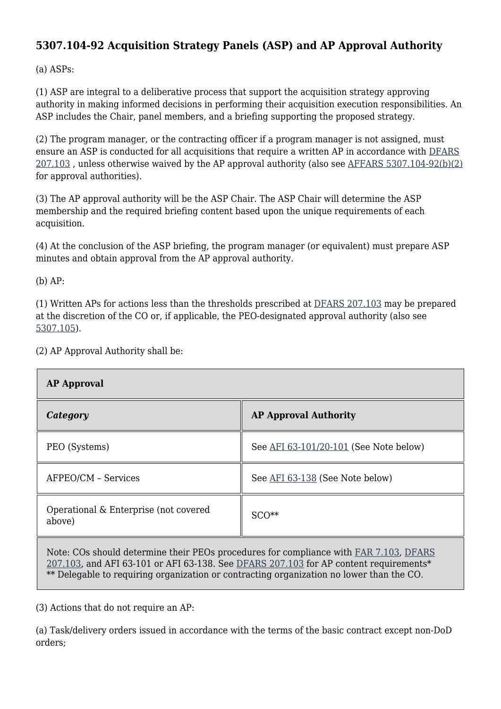#### **5307.104-92 Acquisition Strategy Panels (ASP) and AP Approval Authority**

(a) ASPs:

(1) ASP are integral to a deliberative process that support the acquisition strategy approving authority in making informed decisions in performing their acquisition execution responsibilities. An ASP includes the Chair, panel members, and a briefing supporting the proposed strategy.

(2) The program manager, or the contracting officer if a program manager is not assigned, must ensure an ASP is conducted for all acquisitions that require a written AP in accordance with [DFARS](https://www.acquisition.gov/dfars/part-207-acquisition-planning#DFARS-207.103) [207.103](https://www.acquisition.gov/dfars/part-207-acquisition-planning#DFARS-207.103) , unless otherwise waived by the AP approval authority (also see [AFFARS 5307.104-92\(b\)\(2\)](https://origin-www.acquisition.gov/%5Brp:link:affars-part-5307%5D#p104_92_b_2) for approval authorities).

(3) The AP approval authority will be the ASP Chair. The ASP Chair will determine the ASP membership and the required briefing content based upon the unique requirements of each acquisition.

(4) At the conclusion of the ASP briefing, the program manager (or equivalent) must prepare ASP minutes and obtain approval from the AP approval authority.

(b) AP:

(1) Written APs for actions less than the thresholds prescribed at [DFARS 207.103](https://www.acquisition.gov/dfars/part-207-acquisition-planning#DFARS-207.103) may be prepared at the discretion of the CO or, if applicable, the PEO-designated approval authority (also see [5307.105\)](#page--1-0).

| <b>AP Approval</b>                              |                                        |
|-------------------------------------------------|----------------------------------------|
| Category                                        | <b>AP Approval Authority</b>           |
| PEO (Systems)                                   | See AFI 63-101/20-101 (See Note below) |
| AFPEO/CM - Services                             | See AFI 63-138 (See Note below)        |
| Operational & Enterprise (not covered<br>above) | $SCO**$                                |
|                                                 |                                        |

(2) AP Approval Authority shall be:

Note: COs should determine their PEOs procedures for compliance with [FAR 7.103,](https://www.acquisition.gov/far/part-7#FAR_7_103) [DFARS](https://www.acquisition.gov/dfars/part-207-acquisition-planning#DFARS-207.103) [207.103](https://www.acquisition.gov/dfars/part-207-acquisition-planning#DFARS-207.103), and AFI 63-101 or AFI 63-138. See [DFARS 207.103](https://www.acquisition.gov/dfars/part-207-acquisition-planning#DFARS-207.103) for AP content requirements\* \*\* Delegable to requiring organization or contracting organization no lower than the CO.

(3) Actions that do not require an AP:

(a) Task/delivery orders issued in accordance with the terms of the basic contract except non-DoD orders;